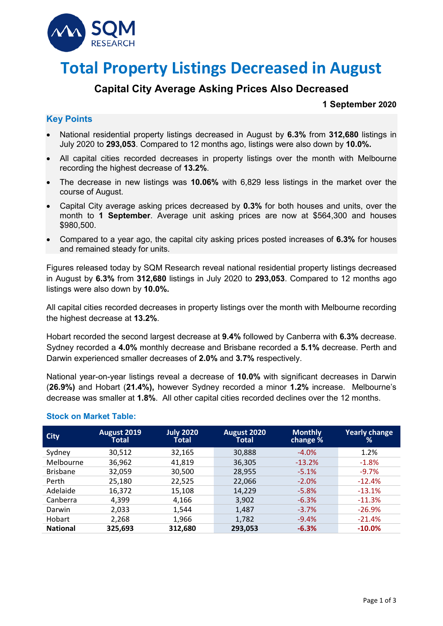

# **Total Property Listings Decreased in August**

# **Capital City Average Asking Prices Also Decreased**

## **1 September 2020**

## **Key Points**

- National residential property listings decreased in August by **6.3%** from **312,680** listings in July 2020 to **293,053**. Compared to 12 months ago, listings were also down by **10.0%.**
- All capital cities recorded decreases in property listings over the month with Melbourne recording the highest decrease of **13.2%**.
- The decrease in new listings was **10.06%** with 6,829 less listings in the market over the course of August.
- Capital City average asking prices decreased by **0.3%** for both houses and units, over the month to **1 September**. Average unit asking prices are now at \$564,300 and houses \$980,500.
- Compared to a year ago, the capital city asking prices posted increases of **6.3%** for houses and remained steady for units.

Figures released today by SQM Research reveal national residential property listings decreased in August by **6.3%** from **312,680** listings in July 2020 to **293,053**. Compared to 12 months ago listings were also down by **10.0%.**

All capital cities recorded decreases in property listings over the month with Melbourne recording the highest decrease at **13.2%**.

Hobart recorded the second largest decrease at **9.4%** followed by Canberra with **6.3%** decrease. Sydney recorded a **4.0%** monthly decrease and Brisbane recorded a **5.1%** decrease. Perth and Darwin experienced smaller decreases of **2.0%** and **3.7%** respectively.

National year-on-year listings reveal a decrease of **10.0%** with significant decreases in Darwin (**26.9%)** and Hobart (**21.4%),** however Sydney recorded a minor **1.2%** increase. Melbourne's decrease was smaller at **1.8%**. All other capital cities recorded declines over the 12 months.

| <b>City</b>     | August 2019<br>Total | <b>July 2020</b><br>Total | August 2020<br>Total | <b>Monthly</b><br>change % | <b>Yearly change</b><br>℅ |
|-----------------|----------------------|---------------------------|----------------------|----------------------------|---------------------------|
| Sydney          | 30,512               | 32,165                    | 30,888               | $-4.0\%$                   | 1.2%                      |
| Melbourne       | 36,962               | 41,819                    | 36,305               | $-13.2%$                   | $-1.8%$                   |
| <b>Brisbane</b> | 32,059               | 30,500                    | 28,955               | $-5.1%$                    | $-9.7%$                   |
| Perth           | 25,180               | 22,525                    | 22,066               | $-2.0%$                    | $-12.4%$                  |
| Adelaide        | 16,372               | 15,108                    | 14,229               | $-5.8%$                    | $-13.1%$                  |
| Canberra        | 4,399                | 4.166                     | 3,902                | $-6.3%$                    | $-11.3%$                  |
| Darwin          | 2,033                | 1,544                     | 1,487                | $-3.7%$                    | $-26.9%$                  |
| Hobart          | 2,268                | 1,966                     | 1,782                | $-9.4%$                    | $-21.4%$                  |
| <b>National</b> | 325,693              | 312,680                   | 293,053              | $-6.3%$                    | $-10.0%$                  |

## **Stock on Market Table:**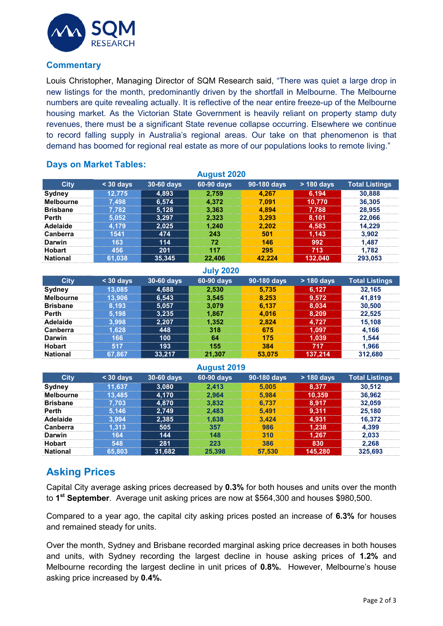

## **Commentary**

Louis Christopher, Managing Director of SQM Research said, "There was quiet a large drop in new listings for the month, predominantly driven by the shortfall in Melbourne. The Melbourne numbers are quite revealing actually. It is reflective of the near entire freeze-up of the Melbourne housing market. As the Victorian State Government is heavily reliant on property stamp duty revenues, there must be a significant State revenue collapse occurring. Elsewhere we continue to record falling supply in Australia's regional areas. Our take on that phenomenon is that demand has boomed for regional real estate as more of our populations looks to remote living."

## **Days on Market Tables:**

| <b>August ZUZU</b> |           |            |            |             |              |                       |
|--------------------|-----------|------------|------------|-------------|--------------|-----------------------|
| <b>City</b>        | $30$ days | 30-60 days | 60-90 days | 90-180 days | $> 180$ days | <b>Total Listings</b> |
| Sydney             | 12.775    | 4,893      | 2.759      | 4.267       | 6,194        | 30,888                |
| <b>Melbourne</b>   | 7.498     | 6,574      | 4.372      | 7.091       | 10.770       | 36,305                |
| <b>Brisbane</b>    | 7.782     | 5,128      | 3,363      | 4.894       | 7,788        | 28,955                |
| <b>Perth</b>       | 5.052     | 3,297      | 2.323      | 3.293       | 8,101        | 22.066                |
| Adelaide           | 4.179     | 2.025      | 1,240      | 2.202       | 4,583        | 14.229                |
| Canberra           | 1541      | 474        | 243        | 501         | 1.143        | 3.902                 |
| Darwin             | 163       | 114        | 72         | 146         | 992          | 1.487                 |
| <b>Hobart</b>      | 456       | 201        | 117        | 295         | 713          | 1.782                 |
| <b>National</b>    | 61,038    | 35,345     | 22.406     | 42.224      | 132,040      | 293,053               |

**August 2020**

#### **July 2020**

| <b>City</b>      | $30$ days | 30-60 days | 60-90 days | 90-180 days | $>$ 180 days | <b>Total Listings</b> |
|------------------|-----------|------------|------------|-------------|--------------|-----------------------|
| Sydney           | 13,085    | 4,688      | 2,530      | 5.735       | 6.127        | 32.165                |
| <b>Melbourne</b> | 13.906    | 6.543      | 3.545      | 8.253       | 9,572        | 41.819                |
| <b>Brisbane</b>  | 8.193     | 5,057      | 3.079      | 6.137       | 8.034        | 30.500                |
| Perth            | 5.198     | 3,235      | 1.867      | 4.016       | 8,209        | 22.525                |
| Adelaide         | 3.998     | 2.207      | 1.352      | 2.824       | 4.727        | 15.108                |
| Canberra         | .628      | 448        | 318        | 675         | 1,097        | 4.166                 |
| Darwin           | 166       | 100        | 64         | 175         | 1.039        | 1.544                 |
| <b>Hobart</b>    | 517       | 193        | 155        | 384         | 717          | 1.966                 |
| <b>National</b>  | 67.867    | 33.217     | 21.307     | 53,075      | 137,214      | 312.680               |

#### **August 2019**

| <b>City</b>      | $<$ 30 days | 30-60 days | 60-90 days | 90-180 days | $>$ 180 days | <b>Total Listings</b> |
|------------------|-------------|------------|------------|-------------|--------------|-----------------------|
| Sydney           | 11.637      | 3.080      | 2.413      | 5.005       | 8.377        | 30.512                |
| <b>Melbourne</b> | 13.485      | 4,170      | 2.964      | 5.984       | 10,359       | 36,962                |
| <b>Brisbane</b>  | 7.703       | 4.870      | 3,832      | 6.737       | 8.917        | 32,059                |
| Perth            | 5.146       | 2,749      | 2.483      | 5.491       | 9,311        | 25.180                |
| Adelaide         | 3.994       | 2,385      | 1.638      | 3.424       | 4,931        | 16.372                |
| <b>Canberra</b>  | 1.313       | 505        | 357        | 986         | 1,238        | 4.399                 |
| Darwin           | 164         | 144        | 148        | 310         | 1,267        | 2.033                 |
| <b>Hobart</b>    | 548         | 281        | 223        | 386         | 830          | 2.268                 |
| <b>National</b>  | 65.803      | 31,682     | 25.398     | 57,530      | 145,280      | 325,693               |

## **Asking Prices**

Capital City average asking prices decreased by **0.3%** for both houses and units over the month to **1st September**. Average unit asking prices are now at \$564,300 and houses \$980,500.

Compared to a year ago, the capital city asking prices posted an increase of **6.3%** for houses and remained steady for units.

Over the month, Sydney and Brisbane recorded marginal asking price decreases in both houses and units, with Sydney recording the largest decline in house asking prices of **1.2%** and Melbourne recording the largest decline in unit prices of **0.8%.** However, Melbourne's house asking price increased by **0.4%.**